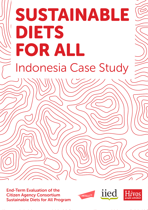# SUSTAINABLE DIETS FOR ALL Indonesia Case Study

End-Term Evaluation of the Citizen Agency Consortium Sustainable Diets for All Program





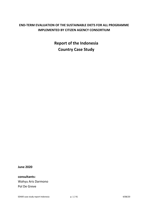# **END-TERM EVALUATION OF THE SUSTAINABLE DIETS FOR ALL PROGRAMME IMPLEMENTED BY CITIZEN AGENCY CONSORTIUM**

**Report of the Indonesia Country Case Study**

**June 2020**

**consultants:** Wahyu Aris Darmono Pol De Greve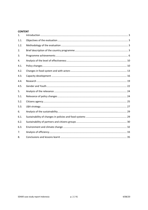### **CONTENT**

| 1.   |  |
|------|--|
| 1.1. |  |
| 1.2. |  |
| 2.   |  |
| 3.   |  |
| 4.   |  |
| 4.1. |  |
| 4.2. |  |
| 4.3. |  |
| 4.4. |  |
| 4.5. |  |
| 5.   |  |
| 5.1. |  |
| 5.2. |  |
| 5.3. |  |
| 6.   |  |
| 6.1. |  |
| 6.2. |  |
| 6.3. |  |
| 7.   |  |
| 8.   |  |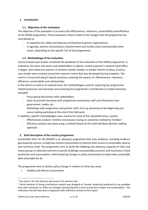# **1. Introduction**

# **1.1. Objectives of the evaluation**

The objective of the evaluation is to assess the effectiveness, relevance, sustainability and efficiency of the SD4All programme. These evaluation criteria relate to the changes that the programme has contributed to:

- in capacities for Lobby and Advocacy of (Southern) partner organisations,
- in agendas, policies and practices of government and market actors (and possibly other actors, depending on the specific ToC of the programme).

# **1.2. Methodology of the evaluation**

Country-based case studies constitute the backbone of the evaluation of the SD4All programme. In Indonesia, the team met actors and stakeholders in Jakarta, visited a partner's national head office in Bogor, and visited one partner at location namely Tanoker in Jember District (3 days). Country case studies were centred around the research matrix that was developed during inception. The matrix is structured along 5 topical questions covering the aspects of: effectiveness, relevance, efficiency, sustainability and relationships.

In the district as well as at national level, the methodologies used for exploring key programmerelated processes and outcomes and assessing the programme's contribution to stated outcomes  $include^{1}$ 

- Focus group discussions with stakeholders,
- Semi-structured interviews with programme and partner staff and informants from government, media, etc.
- Workshops with programme and partner staff: start-up workshop at the beginning and sense-making workshop at the end of the field work.

In addition, specific methodologies were used to for some of the stipulated areas, namely :

- Effectiveness analysis: timeline and process tracing on outcomes realised by Tanoker<sup>2</sup>.
- Efficiency analysis was done using a method based on the *multi-attribute decision making* approach.

# **2. Brief description of the country programme**

Sustainable Diets for All (SD4All) is an advocacy programme that uses evidence, including evidence generated by citizens, to help low-income communities to improve their access to sustainable, diverse and nutritious food. The programme aims to build the lobbying and advocacy capacity of CSOs and citizen groups in selected countries to jointly challenge unsustainable practices and incentives in food production and consumption, while fostering changes in policy and practice to help make sustainable diets attainable for all.

The programme aims to deliver policy change in relation to three key areas:

I. Healthy and diverse consumption

 $1$  See annex 1 for the itinerary and annex 2 for persons met

 $2$  Initial intention of doing contribution analysis was dropped as Tanoker leadership preferred to use available time with evaluators to reflect on strategic positioning with a view to long term impact and sustainability – the reflections thereof have been integrated under different sections of this report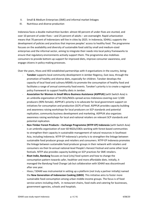- II. Small & Medium Enterprises (SME) and informal market linkages
- III. Nutritious and diverse production

Indonesia faces a double malnutrition burden: almost 40 percent of under-fives are stunted, and over 10 percent of under-fives – and 25 percent of adults – are overweight. Rapid urbanization means that 70 percent of Indonesians will live in cities by 2025. In Indonesia, SD4ALL supports the development of policies and practices that improve peoples' access to healthy food. The programme focuses on the availability and diversity of sustainable food sold by small and medium-sized enterprises and the informal sector, aiming to integrate their needs into local policy frameworks to ensure that regulatory environments actively support them. The programme also mobilises consumers to provide bottom-up support for improved diets, improve consumer awareness, and engage citizens in policy-making processes.

Over the years, Hivos and IIED established partnerships with 4 organisations in the country, being:

- **Tanoker** supports local community development in Jember Regency, East Java, through the promotion of healthy and diverse diets, especially for children. Tanoker develops the capacity of local food and culinary MSMEs to promote the consumption of healthy food and facilitates a range of annual community food events. Tanoker's priority is to create a regional policy framework to support healthy diets in Jember.
- **Association for Women in Small Micro Business Assistance (ASPPUK)** (with Switch Asia) is an umbrella organization of 54 CSOs/NGOs spread across Indonesia covering over 3,500 producers (90% female). ASPPUK's priority is to advocate for local government support on initiatives for consumption and production (SCP) of food. ASPPUK provides capacity building and awareness raising workshops for local producers on SCP standards and potential replication, community business development and marketing. ASPPUK also organizes awareness raising workshops for local and national retailers on relevant SCP standards and potential replication.
- **Non-Timber Forest Products – Exchange Programme (NTFP-EP) Indonesia** (with Switch Asia) is an umbrella organization of over 60 NGOs/CBOs working with forest-based communities to strengthen their capacity in sustainable management of natural resources in Southeast Asia, including Indonesia. NTFP-EP Indonesia's priority is to strengthen the linkage between sustainable food producer groups and retailers and consumers. NTFP-EP Indonesia promotes the linkage between sustainable food producer groups in their network with retailers and consumers via their bi-annual national-level People's Harvest Festival and some other local festivals. NTFP also provides capacity building on SCP practices for SME retailers.
- **Riset Indie, Bandung** focuses on local (city) food system and how to change the consumption pattern towards safer, healthier and more affordable diets. Initially, it managed the Bandung Food Change Lab but collaboration with SD4All was discontinued after one year.
- Hivos / SD4All was instrumental in setting up a platform (not truly a partner initially) named the **New Generation of Indonesian Cooking (GBDI)**. This initiative aims to foster more sustainable food consumption among urban middle-income groups. The focus is of food service actors including chefs, in restaurant chains, food stalls and catering for businesses, government agencies, schools and hospitals.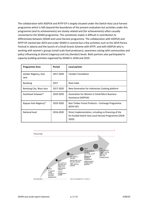The collaboration with ASSPUK and NTFP-EP is largely situated under the Switch-Asia Local harvest programme which is falls beyond the boundaries of the present evaluation but activities under this programme (and its achievements) are closely related and (for achievements) often causally connected to the SD4All programme. This sometimes makes it difficult in contribution to differentiate between SD4All and Local Harvest programme. The collaboration with ASSPUK and NTFP-EP started late 2019 and under SD4All it covered but a few activities such as the 2019 Parara Festival in Jakarta and the launch of a Small Grants Scheme with NTFP, and with ASSPUK who is working with women's groups (small scale food producers), awareness raising with communities and policy influencing at district (regency) and city (Kendari) levels. Both partners also participated in capacity building activities organised by SD4All in 2018 and 2019.

| <b>Programme Area</b>            | Period    | Local partner                                                                                                         |  |  |
|----------------------------------|-----------|-----------------------------------------------------------------------------------------------------------------------|--|--|
| Jember Regency, East<br>Java     | 2017-2020 | <b>Tanoker Foundation</b>                                                                                             |  |  |
| Bandung                          | 2017      | Riset Indie                                                                                                           |  |  |
| Bandung City, West Java          | 2017-2020 | New Generation for Indonesian Cooking platform                                                                        |  |  |
| Southeast Sulawesi*<br>2019-2020 |           | Association for Women in Small Micro Business<br>Assistance (ASPPUK)                                                  |  |  |
| Kapuas Hulu Regency*             | 2019-2020 | Non Timber Forest Products - Exchange Programme<br>(NTFP-EP)                                                          |  |  |
| National level                   | 2016-2020 | Direct implementation, including co-financing of the<br>EU-funded Switch Asia Local Harvest Programme (2018-<br>2020) |  |  |

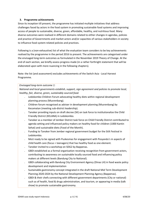# **3. Programme achievements**

Since its inception till present, the programme has initiated multiple initiatives that address challenges faced by actors in the food system in promoting sustainable food systems and improving access of people to sustainable, diverse, green, affordable, healthy, and nutritious food. Many diverse outcomes were realised in different domains related to either changes in agendas, policies and practice of Governments and market actors and/or capacities of various stakeholders in society to influence food system-related policies and practices.

Following is a (non-exhaustive) list of what the evaluation team considers to be key achievements realised by the programme in the period 2016 to present. The achievements are categorised under the envisaged long-term outcomes as formulated in the November 2019 Theory of Change. At the end of each section, we briefly assess progress made (in a rather forthright statement that will be elaborated upon with more nuancing in the following chapters).

Note: the list (and assessment) excludes achievements of the Switch Asia - Local Harvest Programme.

### *Envisaged long-term outcome 1:*

*National and local governments establish, support, sign agreement and policies to promote local, healthy, fair, diverse, green, sustainably sourced food.*

- Ledokombo Children Forum advocating healthy diets within regional development planning process (Musrenbang).
- ˗ Children forum recognised as adviser in development planning (Musrenbang) by Kecamatan (meeting sub-district leadership).
- ˗ Tanoker providing inputs on draft decree (SK) on task force to institutionalize the Child Friendly District (KELANA) in Ledokombo.
- ˗ Tanoker as a member of Jember District task force on Child Friendly District contributed to agenda setting and influenced policy makers on healthy food for children (1000 Kantin Sehat) and sustainable diets (Food of the Month).
- ˗ Funding to Tanoker from Jember regional government budget for the Stilt Festival in Ledokombo.
- ˗ MoU ready to be signed with Puskesmas for engagement with Posyandu's in aspects of child health care (focus = teenagers) that has healthy food as one element.
- ˗ Tanoker invited to a workshop on SDG2 by Bappenas.
- GBDI established as a formal organisation receiving recognition from government actors, contributing to awareness on sustainable locally sourced food and influencing policy makers at different levels (Bandung City to National).
- ˗ GBDI collaborating with Bandung City Environment Agency (Dinas LH) in food waste policy development and implementation
- ˗ Sustainable gastronomy concept integrated in the draft National Mid Term Development Planning 2020-2024 by the National Development Planning Agency (Bappenas).
- ˗ GBDI & their chefs connecting with different government departments (City or national) such as of health, food & drugs administration, and tourism, or appearing in media (talk show) to promote sustainable gastronomy.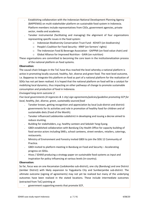- ˗ Establishing collaboration with the Indonesian National Development Planning Agency (BAPPENAS) on multi-stakeholder platform on sustainable food system in Indonesia. Platform members include representatives from CSOs, government agencies, private sector, media and academia.
- ˗ Tanoker instrumental (facilitating and managing) the alignment of four organizations representing specific issues in the food system:
	- o Indonesian Biodiversity Conservation Trust Fund KEHATI (on biodiversity)
	- o People's Coalition for Food Security KRKP (on farmers' rights)
	- o The Indonesian Food & Beverage Association GAPPMI (on food value chain) and
	- o Global Alliance for Improved Nutrition GAIN (on nutrition)

These organisations are committed to becoming the core team in the institutionalization process of the national platform on food systems.

### **Observation:**

The causal-chain linkages in the ToC have thus reached the level whereby a national platform is active in promoting locally sourced, healthy, fair, diverse and green food. The next level outcome, i.e. Bappenas to integrate this platform on food as part of a national platform for the realization of SDGs has not yet been realised. It is hoped that the national platform on food will be a catalyst for mobilizing local dynamics, thus impacting on other pathways of change to promote sustainable consumption and production of food in Indonesia.

### *Envisaged long-term outcome 2:*

*Five local governments (4 regencies & 1 city) sign agreements/policies/guideline promoting SCP for local, healthy, fair, diverse, green, sustainably sourced food*

- ˗ Tanoker known, getting recognition and appreciation by local (sub-district and district) governments for its activities and role in promotion of healthy food for children and of sustainable diets (Food of the Month).
- ˗ Tanoker influenced Ledokombo subdistrict in developing and issuing a decree aimed to reduce stunting.
- Building for stakeholders, e.g. healthy canteen and Sekolah Yang-Eyang.
- ˗ GBDI established collaboration with Bandung City Health Office for capacity building of food service actors including SMEs, school canteens, street vendors, retailers, caterings, restaurants.
- ˗ Ministry of Environment and Forestry invited GBDI to join the SDG 12 Community of Practice.
- ˗ GBDI invited to platform meeting in Bandung on Food and Security Accelerating progress on SDGs.
- ˗ Hivos / SD4All producing a strategy paper on sustainable food systems as input and inspiration for policy influencing at various levels (in-country).

### **Observation:**

So far, focus was on one Kecamatan (Ledokombo sub-district), one city (Bandung) and one District (Jember District) with likely expansion to Yogyakarta City and Sumberjambe sub-district. The ultimate outcome (signing of agreements) may not yet be realized but many of the underlying outcomes have been realized in the stated locations. These include intermediate outcomes (extracted from ToC) pointing at

government supporting events that promote SCP,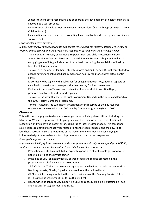- Jember tourism office recognising and supporting the development of healthy culinary in Ledokombo's tourism spots,
- incorporation of healthy food in Regional Action Plans (Musrenbang) on SDGs (& role Children forum),
- local multi-stakeholder platforms promoting local, healthy, fair, diverse, green, sustainably sourced food.

# *Envisaged long-term outcome 3:*

*Jember district government coordinate and collectively support the implementation of Ministry of Women Empowerment and Child Protection recognition of Jember as Child Friendly Region.*

- ˗ The Indonesian Ministry of Women's Empowerment and Child Protection awarded Jember District in East Java Province as a Child-Friendly District (Kabupaten Layak Anak) complying one of integral indicators of basic health including the availability of healthy food for children in schools.
- ˗ Tanoker as a member of Jember District task force on Child Friendly District contributed to agenda setting and influenced policy makers on healthy food for children (1000 Kantin Sehat).
- ˗ MoU ready to be signed with Puskesmas for engagement with Posyandu's in aspects of child health care (focus = teenagers) that has healthy food as one element.
- Partnership between Tanoker and University of Jember (Public Nutrition Dept.) to promote healthy diets and support capacity.
- ˗ Tanoker being key influencer of District Government Bappeda in the design and launch of the 1000 Healthy Canteens programme.
- ˗ Tanoker invited by the sub-district government of Ledokombo as the key resource organisation in a workshop on 1000 healthy Canteen programme (March 2020).

# **Observation**:

This pathway is largely realised and acknowledged later on by high-level officials including the Minister of Women Empowerment at Egrang Festival. This is important in terms of national recognition and visibility and potential for scaling -up of locally tested models. This component also includes realisation from activities related to healthy food at schools and the now to be launched 1000 Kantin Sehat programme of the Government whereby Tanoker is trying to influence design to ensure healthy food is promoted and used in the programme.

# *Envisaged long-term outcome 4:*

*Improved availability of local, healthy, fair, diverse, green, sustainably sourced food from MSMEs, small scale retailers and local innovators (especially female) for consumers.* 

- ˗ Production of a chef manual that incorporates principles of sustainable gastronomy for policy makers and the private sector.
- Principles of GBDI on healthy locally-sourced foods and recipes promoted in the programmes of chef and catering associations.
- ˗ 14 GBDI Master Trainers actively campaigning sustainable food in their own network in Bandung, Jakarta, Cimahi, Yogyakarta, as well as at the national level.
- ˗ GBDI principles being adopted in the chef's curriculum of the Bandung Tourism School (STP) (as well as sharing facilities for GBDI activities).
- ˗ Health Office of Bandung City supporting GBDI on capacity building in Sustainable Food and Cooking for (20) canteens and SMEs.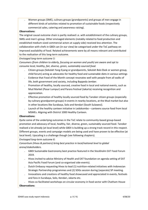˗ Women groups (SME), culinary groups (grandparents) and groups of men engage in different kinds of activities related to promotion of sustainable foods (respectively commercial sales, catering and awareness raising).

### **Observations:**

The original causal outcome chain is partly realised i.e. with establishment of the culinary groups, SMEs and men's group. Other envisaged elements (notably related to food production and established medium-sized commercial actors at supply side) received less attention. The collaboration with chefs in GBDI can (in our view) be categorised under the ToC pathway on improved availability of food. Related achievements were by all means relevant and contributed to the realisation of this long-term outcome.

### *Envisaged long-term outcome 5:*

*Consumers (from children to elderly, focusing on women and youth) are aware and opt to consume local, healthy, fair, diverse, green, sustainably sourced food.*

- ˗ Citizen groups (Sekolah Yang-Eyang or grandparents, Sekolah Bok-Ebok or women group, child forum) acting as advocates for healthy food and sustainable diets in various settings
- ˗ Evidence that Food of the Month concept resonates well with people from all walks of life, both government and society, including Bappeda Jember.
- Promotion of healthy, locally sourced, creative food in local and national events, such as Mud Market (Pasar Lumpur) and Parara Festival (Jakarta) receiving recognition and appreciation.
- ˗ Effective promotion of healthy locally sourced food by Tanoker citizen groups (especially by culinary grandparent groups) in events in nearby locations, at the Mud market but also in other locations like Surabaya, Solo and Kendari (South Sulawesi).
- Launch of the healthy canteen initiative in Ledokombo canteens source food from local MSMEs. Aligning with District 1000 Healthy Canteen.

# **Observations:**

Quite some of the underlying outcomes in the ToC relate to community-based group-based promotion and advocacy of local, healthy, fair, diverse, green, sustainably sourced food. Tanoker realised a lot already (at local level) while GBDI is building up a strong track record in this respect. Different groups, events and campaign models are being used and have proven to be effective (at local level). Upscaling is a challenge though (see following chapters).

### *Envisaged long-term outcome 6:*

*Consortium (Hivos & partners) bring best practice in local/national level to global arena/stakeholders.*

- ˗ GBDI Sustainable Gastronomy best practice featured in the Stockholm EAT Food Forum 2019.
- ˗ Hivos invited to advice Ministry of Health and EAT foundation on agenda setting of EAT Asia Pacific Food Forum (and co-organised side-events).
- ˗ Dutch Embassy requesting Hivos to lead (1) nutrition-related initiatives with Indonesian Strategic Partnership programmes and (2) SDGs session during (separate) SP meeting.
- ˗ Innovations and creations of healthy food showcased and appreciated in events, festivals and fora in Surabaya, Solo, Kendari, Jakarta etc.
- ˗ Hivos co-facilitated workshops on circular economy in food sector with Chatham House **Observations**: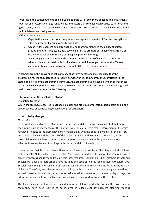Progress in this causal outcome chain is still moderate with some more anecdotical achievements but lack of a systematic bridge-functionality and actors that connect local practice to national and global policy levels. Local evidence has increasingly been used to inform national and international policy debates and policy arenas.

Other achievements:

- ˗ Organisational and functional programme management capacity of Tanoker strengthened – less so policy influencing capacity and skills.
- ˗ Capacity development and organisational support strengthened the ability of citizen groups and fora (Yang-Eyang, Bok-Ebok, children) to promote sustainable diets (focus on healthy food for children) and / or engage in policy influencing.
- ˗ Active engagement in media and communication in variety of channels has reached a wider audience on sustainable food and related activities of partners - locally (Tanoker communication in Bahasa) to internationally (Hivos-IIED communications).

In general, from the above succinct summary of achievements, one may conclude that the programme has indeed succeeded in realising a wide variety of outcomes that contribute to the stated objectives of the programme. Obviously, the programme also faced a number of challenges that may have hampered or slowed down the realisation of certain outcomes. These challenges will be discussed in more detail in the following chapters.

# **4. Analysis of the level of effectiveness**

Evaluation Question 1:

Which changes have occurred in agendas, policies and practices of targeted social actors and in the L&A capacities of participating organisations (effectiveness)?

# **4.1. Policy changes**

### *Observations*

In the workshop and on several occasions during the field discussions, Tanoker stated that more than influencing policy changes at the district level, Tanoker prefers real reinforcement at the grass root level. Policies at the district level may change along with the political dynamics of the district, and this is really beyond the control of the project. Tanoker understands that the policy at the provincial to national level is a much more complex process, so that in this project it is more effective to concentrate at the village, sub-district, and district levels.

It was proven that Tanoker interventions have influence on policies at the village, sub-district and district levels. At the village level, Sekolah Yang Eyang (grandparents school) has inspired how to creatively process healthy food from diverse local resources. Sekolah Bok Ebok (mothers school) and Sekolah Pak Bapak (fathers school) have included the issue of healthy food in their curriculum. Both Sekolah Yang Eyang and Sekolah Bok Ebok & Sekolah Pak Bapak basically have the same focus in childcare. Therefore, many issues related to child growth and development are being addressed, such as health services for children, access to formal education, prevention of the use of illegal drugs, sex education, and even how healthy democracy becomes an important topic in these schools.

This focus on childcare has paid off. In addition to the children gradually choosing their own healthy food, they have even learned to be involved in village-level development planning meeting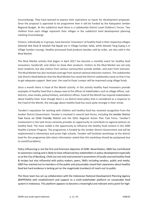(musrenbang). They have learned to express their aspirations as inputs for development proposals. Once the proposal is approved to be programme then it will be funded by the Kabupaten Jember Regional Budget. At the subdistrict level there is a Ledokombo District Level Children's Forum. Two children from each village represent their villages in the subdistrict level development planning meeting (musrenbang).

Citizens, individually or in groups, have become 'innovators' of healthy food in their respective villages (Sekolah Bok Ebok & Sekolah Pak Bapak are in Village Sumber Salak, while Sekolah Yang Eyang is in Village Sumber Lesung). Healthy processed food products besides sold by order, are also sold in the Mud Market.

The Mud Market activity that began in April 2017 has become a monthly event for healthy food innovators, handicraft, and others to show their products. Visitors to the Mud Market are not only local residents, but also visitors from various communities outside Jember, and even from overseas. The Mud Market has also received coverage from several national television stations. The Ledokombo Sub-District Head believes that the Mud Market has raised the District Ledokombo name so that it has to get adequate support. Next year, the road to Pasar Lumpur will be improved using village funds.

Once a month there is Food of the Month activity. In this activity healthy food innovators provide examples of healthy food that is always new to the offices of stakeholders such as village offices, subdistricts, mass media, police/military, and district offices. Food of the Month has inspired stakeholders about healthy food. Even though there is no district-level policy that is considered as a response to the Food of the Month, the message about healthy food has stuck quite strongly in their minds.

Tanoker's reputation for working with children and healthy food has received recognition from the Jember District Government. Tanoker is involved in several task forces, including the Jember District Task Force on Child Friendly District and the SDGs Regional Action Plan Task Force. Tanoker's involvement in the task forces certainly provides an opportunity to contribute to regional policies on healthy food. The most visible is the opportunity to influence the healthy food content in the 1000 Healthy Canteen Program. The programme is funded by the Jember District Government and will be implemented in elementary and junior high schools. Tanoker will facilitate workshops at the district level for this programme (the latest information stated that this workshop should be postponed due to covid19 problem).

Policy influencing is not the first and foremost objective of GDBI. Nevertheless, GBDI has contributed to awareness raising and is likely to have influenced key stakeholders in policy development especially so at the City of Bandung. Chefs are not only instrumental in promotion of locally sourced healthy food & recipes but also influential with policy makers, peers, SMEs including vendors, public and media. GBDI has reached out to members of the public and presumably raised their awareness about healthy food but hard evidence is lacking yet on the magnitude (numbers) of reach-out to public.

The Hivos team has set up collaboration with the Indonesian National Development Planning Agency (BAPPENAS) with establishment and support to a multi-stakeholder platform on sustainable food system in Indonesia. This platform appears to become a meaningful and relevant entry point for high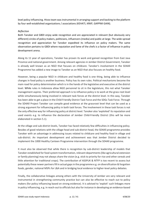level policy influencing. Hivos team was instrumental in arranging support and backing to the platform by four well-established organizations / associations (KEHATI, KRKP, GAPPMI GAIN).

### *Reflection*

Both Tanoker and GBDI enjoy wide recognition and are appreciated in relevant (but obviously very different) circles of policy makers, politicians, influencers (media) and public at large. The wide-spread recognition and appreciation for Tanoker expedited its influence on policy makers. The same observation pertains to GBDI where reputation and fame of the chefs is a factor of influence in policy development arena.

Along its 11 year of operations, Tanoker has proven its work and gained recognition from East Java Province and national government. Among relevant agencies in Jember District Government, Tanoker is already well known as an NGO that focuses on childcare. Tanoker's involvement in the SD4All Programme has added a new image to Tanoker as an NGO that also focuses on healthy food.

However, being a popular NGO in childcare and healthy food is one thing, being able to influence changes in food policy is another business. Policy has its own rules. Political mechanisms become the main road for policy determination which is in the hands of the legislative and executive at the district level. While rules in Indonesia allow NGO personnel to sit in the legislature, this not what Tanoker management aspires. Their preferred approach is to influence policy is to work at the grass root level while simultaneously being involved in relevant task forces at the district level. In this way, Tanoker has been able to get a place in the Child Friendly District Task Force and the SDGs Task Force. Through the SD4All Project Tanoker can compile good evidence at the grassroot level that can be used as a strong argument for influencing policy in both task forces. The involvement in these task forces is not the only effective way for influencing policy at district level. Tanoker also 'exploited' its reputation and used events e.g. to influence the declaration of Jember Child-Friendly District (this will be more elaborated in section 5.1).

At the village and sub-district levels, Tanoker has faced relatively few difficulties in influencing policy. Besides of good relations with the village head and sub-district head, the SD4All programme provides Tanoker with an advantage in addressing issues related to childcare and healthy food in village and sub-district. An important development and achievement was that Jember District decided to implement the 1000 Healthy Canteen Programme intervention through the SD4All programme.

It must also be observed that while there is recognition by sub-district leadership of models that Tanoker established for food system transformation, relevant departments (like agricultural extension or family planning) may not always share the vision (e.g. stick to priority for rice and other cereals and little attention for traditional crops). The contribution of ASSPUK & NTFP is too recent to assess but potentially these newer partners fill in actual gaps in the programme e.g. on diversification & forgotten foods, gender, national MSPs for L&A and in bridging local evidence to higher-level policy debates.

Finally, the collaborative linkages among others with the University of Jember are very relevant and instrumental in strengthening community practice but can also be effective to reach out to policy makers (for policy influencing based on strong evidence). It is advised to 'exploit' such linkages more in policy influencing, e.g. in reach-out to officials but also for instance in developing an evidence-based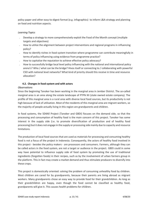policy paper and other easy-to-digest format (e.g. infographics) to inform L&A strategy and planning on food and nutrition aspects.

# *Learning Topics*

- Develop a strategy to more comprehensively exploit the Food of the Month concept (multiple targets and objectives)
- ˗ How to utilize the alignment between project interventions and regional programs in influencing policy?
- ˗ How to identify niches in food system transition where programme can contribute meaningfully in terms of policy influencing using evidence from programme practice?
- How to capitalize the reputation to achieve effective policy advocacy?
- ˗ How to successfully bridge local level policy influencing with the national and international policy arena's? Who / what can be the bridge? Hivos itself or connecting to / collaborating with powerful CSO with national level networks? What kind of priority should this receive in time and resource allocation?

### **4.2. Changes in food system and with actors**

### *Observations*

Since the beginning Tanoker has been working in the marginal area in Jember District. The so-called marginal area is an area along the estate landscape of PTPN XII (state owned estate company). The profile of this marginal area is a rural area with diverse local food sources, but its productivity is not high because of lack of utilisation. Most of the residents of this marginal area are migrant workers, so the majority of people actually living in this region are grandparents and children.

In food systems, the SD4All Project (Tanoker and GBDI) focuses on the demand side, so that the processing and consumption of healthy food is the main concern of this project. Tanoker has some interest in the supply side (i.e. to promote diversification of production and of healthy food processing) but it does not engage in the supply or processing side mainly due to capacity and resource limitations.

The production of local food sources that are used as materials for processing and consuming healthy food is not a focus of the project in Indonesia. Consequently, the actors of healthy food involved in this project - besides the policy makers - are processors and consumers. Farmers, although they can be called actors in the food system, are not a target or audience in the project. GBDI could in some way have potential to influence supply side of food system by promoting the use of traditional ingredients (forgotten foods) in their recipes, such as by the involvement of urban farmers group in the platform. This in fact may create a market demand and thus stimulate producers to diversify into these crops.

This project is domestically oriented: solving the problem of consuming unhealthy food by children. Most children are cared for by grandparents, because their parents are living abroad as migrant workers. Many grandparents chose an easy way to provide food for their grandchildren. As long as their grandchildren are happy, even though the food cannot be classified as healthy food, grandparents will give it. This causes health problems for children.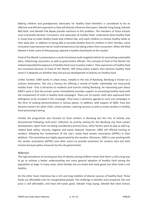Making children and grandparents advocates for healthy food therefore is considered to be an effective and efficient approach as they will directly influence their peers. Sekolah Yang Eyang, Sekolah Bok Ebok, and Sekolah Pak Bapak provide solutions to this problem. The members of these schools must eventually become 'innovators' and advocates of healthy food: understand what healthy food is, know how to make healthy foods that children like, and teach children to choose healthy foods as their daily diet. In addition to being able to provide healthy food for children in their families, some innovators have become micro/ small entrepreneurs by taking orders from consumers. When the Mud Market is held, some of these groups opened a healthy food booth at the market.

Food of the Month is presented as a multi-functional multi-targeted vehicle for promoting sustainable diets, influencing consumers as well as government officials. The concept of food of the Month has indeed expanded the exposure of healthy food issue to policy makers. Their awareness of healthy food has increased because of Food of the Month. Will these policy makers then become healthy food actors? It depends on whether they will pursue development of policies on healthy food.

Unlike Tanoker, GBDI works in urban areas, notably in the city of Bandung. Bandung is known as a culinary destination. The city is famous for offering a variety of foods– admittedly not necessarily healthy food - that is attractive to residents and tourists visiting Bandung. An interesting part about GBDI's work is that the private sector immediately provides support to promoting healthy food with the involvement of chefs in healthy food campaigns. There are 14 master chefs who expressed their willingness to be involved in this campaign. They have a voluntary agenda to carry out campaigns in the form of cooking demonstrations in various places. In addition, with support of GBDI, they also became trainers for other chefs, school canteen, catering services as well as street vendors in healthy food processing training

Initially the programme also focused on food vendors in Bandung but this line of activity was discontinued following multi-actor reflection on priority setting for the Bandung city food system development. Apart from not being considered a priority focus, other factors were at play as well e.g. related food safety, security, hygiene and waste disposal. However, GBDI still offered training to vendors, following the involvement of the city's street food vendor association (APPKL) in their platform. This workshop was highly appreciated by the vendors. Moreover, GBDI is now working with the vendor association (APPKL) and other actors to provide assistance for vendors who lost their income because policy measures by the city government.

# *Reflection*

The high prevalence of stunting but also of obesity among children shows that there is still a long way to go to achieve a better understanding and more general adoption of healthy food among the population at large. In many cases, what families eat are meals that taste good, but often food is not healthy.

On the other hand, Indonesia has a rich and long tradition of diverse sources of healthy food. These foods are affordable even for marginalized people. The challenge is whether once prepared, the cost price is still affordable, and food still tastes good. Sekolah Yang Eyang, Sekolah Bok Ebok School,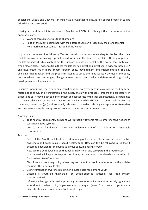Sekolah Pak Bapak, and GBDI master chefs have proven that healthy, locally sourced food can still be affordable and taste good.

Looking at the different interventions by Tanoker and GBDI, it is thought that the more effective approaches are:

- ˗ Working through Chefs as food champions
- ˗ Food of the Month combined with the different Sekolah's (especially the grandparents)
- ˗ Mud market (Pasar Lumpur) & Food of the Month

In practice, the scale of activities by Tanoker remains rather moderate despite the fact that their models are worth duplicating especially child forum and the different *sekolah*'s. These group-based models are indeed rich in content but their impact (in absolute scale) on the overall food systems is small. Nevertheless, evidence from these models has had direct or indirect use in evidence-based L&A and thus create much more impact through policy development and implementation. The key challenge that Tanoker (and the program) faces is to strike the right spaces / themes in the policy debate where one can trigger change, create impact and make a difference through policy development and implementation.

Resources permitting, the programme could consider to cover gaps in coverage of food system– related policies e.g. on diversification in the supply chain with producers, traders and processors. In order to do so, it may be advisable to connect and collaborate with other organisations / programmes that have relevant expertise and track record. Similarly, while GBDIO has some small retailers as members, they do not (yet) address supply side actors at a wider scale (e.g. entrepreneurs like traders and processors) despite having business-related connections with these actors.

# *Learning Topics*

- ˗ Take healthy food as entry point and work gradually towards more comprehensive notions of sustainable food systems
- ˗ L&A to target / influence making and implementation of local policies on sustainable consumption

### Tanoker

- ˗ Food of the Month and healthy food campaigns by master chefs have increased public awareness and policy makers about healthy food. How can this be followed up so that it becomes a decision for the public to always consume healthy food?
- How can this be followed up so that policy makers can also take part in the food system?
- ˗ Use University linkage to strengthen positioning (viz-a-viz nutrition-related considerations) in food systems transformation
- ˗ Child forum is promising policy influencing instrument but could similar set-up with youth be realised – the latter could also
- ˗ Be instrumental in awareness raising on s sustainable food among youth
- ˗ Become a youth-led think-thank on action-oriented strategies for food system transformation?
- Influence / Engage with service providing departments at Kecamatan especially agriculture extension to review policy implementation strategies (away from cereal crops towards diversification and promotion of traditional crops)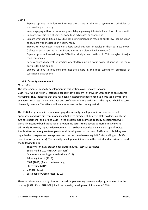GBDI :

- ˗ Explore options to influence intermediate actors in the food system on principles of sustainable gastronomy
- ˗ Keep engaging with other actors e.g. sekolah yang-eyang & bok-ebok and food of the month
- Support strategic role of chefs as good food advocates or champions
- Explore whether and if so, how GBDI can be instrumental in reaching out to low-income urban consumers with messages on healthy food.
- Explore to what extent chefs can adopt social business principles in their business model (reflect on social returns next to financial returns = blended value creation)
- ˗ Explore opportunities to integrate GBDI-like principles and methods in CSR strategies of major food companies
- ˗ Keep vendors as a target for practice-oriented training but not in policy influencing (too many barriers for time being)
- Explore options to influence intermediate actors in the food system on principles of sustainable gastronomy

# **4.3. Capacity development**

### *Observations*

The assessment of capacity development in this section covers mostly Tanoker.

GBDI, ASSPUK and NTFP-EP attended capacity development initiatives in 2019 such as on outcome harvesting. They indicated that this has been an interesting experience but it was too early for the evaluators to assess the on relevance and usefulness of these activities as the capacity building took place only recently. The effects will have to be seen in the coming period.

The SD4All programme in Indonesia engaged in capacity development in various forms and approaches and with different modalities that were directed at different stakeholders, mainly the two core partners Tanoker and GBDI. In the programmatic context, capacity development was primarily meant to build capacities of programme actors to do advocacy more effectively and efficiently. However, capacity development has also been provided on a wider scope of topics. Ample attention was given to organisational development of partners. Staff capacity building was organised on programme management such as outcome harvesting, M&E, storytelling and MSPcoordination (accelerator). The capacity development initiatives in the period under review covered the following topics:

- ˗ Theory U for multi-stakeholder platform (2017) (SD4All partners)
- ˗ Social media (2017) (SD4All partners)
- ˗ Outcome Harvesting (annually since 2017)
- Advocacy toolkit (2018)
- ˗ M&E (2019) (Switch partners only)
- ˗ Storytelling (2019)
- ˗ Gender (2019)
- ˗ Sustainability Accelerator (2019)

These activities were mostly directed towards implementing partners and programme staff in the country (ASSPUK and NTFP-EP joined the capacity development initiatives in 2018).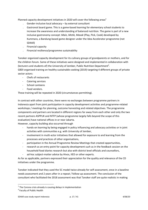Planned capacity development initiatives in 2020 will cover the following areas<sup>3</sup>

- Gender-inclusive local advocacy by external consultant
- ˗ Gastronot board game. This is a game-based learning for elementary school students to increase the awareness and understanding of balanced nutrition. The game is part of a new inclusive gastronomy concept: *Main, Metik, Masak* (Play, Pick, Cook) developed by Kummara, a Bandung-based game designer under the Idea Accelerator programme (not SD4All)
- Financial capacity
- ˗ Financial resilience/programme sustainability

Tanoker organized capacity development for its culinary groups of grandparents or mothers, and for the children forum. Some of these initiatives were designed and implemented in collaboration with (lecturers and students of) the University of Jember, Public Nutrition Department<sup>4</sup>. GBDI organised training on healthy sustainable cooking (2019) targeting 4 different groups of private sector actors:

- Chefs of restaurants
- Catering services
- School canteens
- Food vendors.

These training will be repeated in 2020 (circumstances permitting).

In contrast with other countries, there were no exchanges between programme partners in Indonesia apart from joint participation in capacity development activities and programme-related workshops / meetings for planning, outcome harvesting and related objectives. The programme components and partners are located in different regions far away from each other and only the two recent partners ASPPUK and NTFP (whose programme largely falls beyond the scope of this evaluation) have national offices in or near Jakarta.

However, capacity building also occurred through

- hands-on learning by being engaged in policy influencing and advocacy activities or in joint activities with communities e.g. with University of Jember,
- involvement in multi-actor initiatives that allowed for exposure to and learning from the processes and practices of other organisations,
- participation in the Annual Programme Review Meetings that created opportunities,
- research as an entry point for capacity development such as in the feedback session on the household food diaries research but also with district level officials and counsellors,
- ad-hoc subject-matter advice by Hivos, IIED or other experts.

As far as applicable, partners expressed their appreciation for the quality and relevance of the CD initiatives under the programme.

Tanoker indicated that they used the 5C model twice already for self-assessment, once in a baseline needs assessment and 2 years after in a repeat / follow-up assessment. The conclusion of the consultant who facilitated the 2018 assessment was that Tanoker staff are quite realistic in making

 $3<sup>3</sup>$  The Corona crisis already is causing delays in implementation

<sup>4</sup> Faculty of Public Health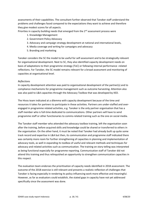assessments of their capabilities. The consultant further observed that Tanoker staff understand the problems and challenges faced compared to the expectations they want to achieve and therefore they give modest scores for all aspects.

Priorities in capacity building needs that emerged from the 2<sup>nd</sup> assessment process were

- 1. Knowledge Management
- 2. Government Policy Advocacy
- 3. Advocacy and campaign strategy development at national and international levels,
- 4. Media coverage and writing for campaigns and advocacy
- 5. Branding and marketing

Tanoker considers the 5C the model to be useful for self-assessment and to be strategically relevant for organisational development. Next to 5C, they also identified capacity development needs on basis of adaptations to their programme strategy (ToC) or following internal performance -related reflections. For Tanoker, the 5C model remains relevant for a broad assessment and monitoring of capacities at organisational level.

### *Reflections*

In capacity development attention was paid to organisational development of the partner(s) and to compliance mechanisms for programme management such as outcome harvesting. Attention also was also paid to L&A capacities through the Advocacy Toolbox that was developed by IIED.

The Hivos team indicated at a dilemma with capacity development because of the time and resources it takes for partners to participate in these activities. Partners are under-staffed and overengaged in programme related activities, e.g. Tanoker is the only partner organisation that has a staff member who is full-time dedicated to communications. Other partners will have to send programme staff or other functionaries to comms-related training such as the one on social media.

The Tanoker staff member who attended the advocacy toolbox training, left the organisation soon after the training, before acquired skills and knowledge could be shared or transferred to others in the organisation. On the other hand, it must be noted that Tanoker had already built up quite some track record and expertise in L&A but then, its communication and programme staff indicated there was certainly more room for further strengthening of capacities in planning and implementation of advocacy tools, as well in expanding its toolbox of useful and relevant methods and techniques for advocacy and related activities such as communication. The training on story telling was interpreted as being functional especially for programme reporting. Communication staff of Tanoker did not attend this training and thus relinquished an opportunity to strengthen communication capacities in this respect.

The evaluation team endorses the prioritisation of capacity needs identified in 2018 assessment. The outcome of the 2018 exercise is still relevant and presents a realistic reflection of challenges that Tanoker is facing especially in rendering its policy influencing work more effective and meaningful. However, as far as evaluators could establish, the stated gaps in capacity have not yet addressed specifically since the assessment was done.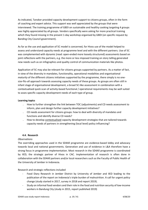As indicated, Tanoker provided capacity development support to citizens groups, often in the form of coaching and expert advice. This support was well appreciated by the groups that were interviewed. The training programme of GBDI on sustainable and healthy cooking targeting 4 groups was highly appreciated by all groups. Vendors specifically were asking for more practical training which they found missing in the present 1-day workshop organised by GBDI (on specific request by Banding City Council government).

As far as the use and application of 5C model is concerned, for Hivos use of the model helped to assess and understand capacity needs at programme level and with the different partners. Use of 5C was complemented with dynamic (read: open-ended more loosely structured) assessments based on joint reflections with the partners, e.g. the more or less imposed training on story telling generated new needs such as on infographics and quality control of communication materials like photos.

Application of 5C may also be relevant for citizens groups supported by partners. As a matter of fact, in view of the diversity in mandates, functionality, operational modalities and organisational *maturity* of the different citizens initiatives supported by the programme, there simply is no onesize-fits-all approach towards assessing capacity needs of these groups. As groups are often still in infant stage of organisational development, a broad 5C-like assessment in combination with a contextualised quick scan of activity-based functional / operational requirements may be well suited to asses specific capacity development needs of each type of group.

### **Learning topics**

- ˗ How to further strengthen the link between TOC (adjustments) and CD needs assessment to inform, plan and design further capacity development initiatives?
- ˗ CD needs assessment for citizens groups: how to deal with diversity of mandates and functions and identify diverse CD needs?
- How to develop contextualised capacity development strategies that are tailored towards capacity needs of partners in strengthening (local level) policy influencing?

# **4.4. Research**

### *Observations*

The overriding approaches used in the SD4All programme are evidence-based lobby and advocacy towards local and national governments. Generation and use of evidence in L&A therefore have a strong focus in programme implementation. Most research in the SD4All programme is coordinated by IIED, the strategic partner of Hivos in CAC. Implementation of research is often done in collaboration with the SD4All partners and/or local researchers such as the Faculty of Public Health of the University of Jember in Indonesia.

Research and strategic reflections included

- Food Diary Research in Jember District by University of Jember and IIED leading to the publication of the report on Indonesia's triple burden of malnutrition. A call for urgent policy change (study started in 2017, survey in 2018 and report 2019).
- Study on informal food vendors and their role in the food and nutrition security of low-income workers in Bandung City (study in 2015, report published 2019)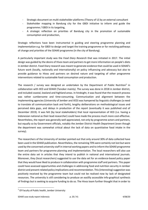- Strategic document on multi-stakeholder platforms (Theory of U) by an external consultant
- Stakeholder mapping in Bandung city for the GBDI initiative to inform and guide the programme / GBDI in its targeting,
- A strategic reflection on priorities of Bandung city in the promotion of sustainable consumption and production,

Strategic reflections have been instrumental in guiding and steering programme planning and implementation e.g. for GBDI to design and target the training programme or for revisiting pathways of change and priorities of the SD4All programme (in the city of Bandung).

A particularly important study was the *Food Diary Research* that was initiated in 2017. The initial design was guided by the desire of Hivos team and partners to get more information on people's diets in Jember district. Food Diary research was meant to generate evidence that could be used in SD4All's future work (locally, nationally and internationally) on policy influencing and advocacy but also to provide guidance to Hivos and partners on desired nature and targeting of other programme interventions related to sustainable food consumption and production.

The research / survey was designed an undertaken by the Department of Public Nutrition<sup>5</sup> in collaboration with IIED and SD4All (Tanoker mainly). The survey was done in 2018 in Jember district, and included coastal, lowland and highland areas. In hindsight, it was found that the research process was rather cumbersome and time-consuming. Communication and alignment between the implementing agencies (University of Jember and IIED) was hampered by linguistic challenges (a need to translate all communication back and forth), lengthy deliberations on methodological issues and perceived data gaps, and delays in production of the report (eventually it was published end of December 2019). It was felt (by local stakeholders) that local representation of IIED (i.e. having a Indonesian national as their lead researcher) could have made the process much more cost-effective. Nevertheless, the report was generally well appreciated, not only by programme actors and partners, but equally so by Government officials, notably the Jember District Health Department (even though the department was somewhat critical about the lack of data on quantitative food intake in the survey).

The researchers of the University of Jember pointed out that only around 30% of data collected have been used in the SD4All publication. Nevertheless, the remaining 70% were certainly not lost but were used by the concerned university staff in internal working papers and to inform the SD4All programme team and partners for programme planning and implementation. The local researchers will also use the entire data set in articles that they intend to publish in national and international journals. Moreover, they (local researchers) suggested to use the data set for an evidence-based policy paper that they would have liked to produce in collaboration with programme staff and partners. This paper could have assessed opportunities and challenges in addressing food and nutrition security in Jember district and present related policy implications and recommendation. This (interesting) suggestion was positively received by the programme team but could not be realised now by lack of designated resources. The university is still considering to produce an easilily accessible info-graphical synthesis of findings but is seeking to acquire funding to do so. The Hivos team further thought that in order to

 $5$  Of Faculty of Public health, Jember University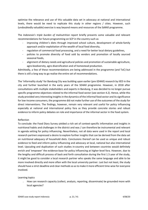optimise the relevance and use of this valuable data set in advocacy at national and international levels, there would be need to replicate this study in other regions / cities. However, such (undoubtedly valuable) exercise is way beyond means and resources of the Sd4All programme.

The *Indonesia's triple burden of malnutrition* report briefly presents some valuable and relevant recommendations for future programming on SCP in the country such as

- improving children's diets through improved school culture, development of whole-family approach and/or exploitation of the wealth of local food diversity,
- regulation of commercial food processing, and a need for better local dietary guidelines,
- policies to promote diversity of food sold by vendors and promotion of locally sourced seasonal foods,
- alignment of dietary needs and agricultural policies and promotion of sustainable agriculture, agro-biodiversity, agro diversification and of homestead production.

Admittedly, a few of these recommendations are being addressed in the programme (and ToC) but there is still a long way to go realise the entire set of recommendations.

The 'informality study' for Bandung City was building upon earlier (pre-SD4All) research by IIED in the city and further launched in the early years of the SD4All programme. However, in 2018 after consultations with multiple stakeholders and experts in Bandung, it was decided to no longer pursue specific programme objectives related to the informal food sector (see section 4.2). Hence, while this study provided very interesting insights in the dynamics of the informal food sector and its significance for low-income consumers, the programme did not make further use of the outcomes of the study for direct interventions. The findings, however, remain very relevant and useful for policy influencing especially at national and international policy fora as they provide concrete stories and robust evidence to inform policy debates on role and importance of the informal sector in the food system.

# Reflection

To conclude: the Food Diary Survey yielded a rich set of context-specific information and insights in nutritional habits and challenges in the district and was / can therefore be instrumental and relevant in agenda setting for policy influencing. Nevertheless, not all data were used in the report and local research partners expressed a desire to explore further insights that can be derived from the data set on nutritional adequacy of household diets. Conclusions thereof can be used as unique and robust evidence to feed and inform policy influencing and advocacy at local, national but also international level. Upscaling and duplication of such studies in-country and between countries would definitely enrich and 'empower' the evidence-base for policy influencing at higher-level fora. However, due to the lengthy and difficult process of back and forth consultation during the first 1.5 year of the study, it might be good to consider a local research partner who speaks the same language and able to be more involved directly and more often with the local university partner. Last but not least, the study should have a strict deadline and clear methods so as to make it more efficient time-wise for everyone involved.

# Learning topics

˗ How can research capacity (collect, analysis, reporting, disseminate) be grounded more with local agencies?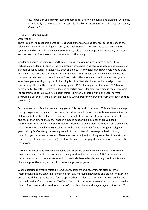˗ How to position and apply research (that requires a fairly rigid design and planning) within the more loosely structured and necessarily flexible environment of advocacy and policy influencing?

### **4.5. Gender and Youth**

### **Observations**

There is a general recognition among Hivos and partners as well as other resource persons of the relevance and importance of gender and youth inclusion in matters related to sustainable food systems and diets for all, if only because of the key role that women play in production, processing and preparation of food crops for consumption by the family.

Gender and youth inclusion received limited focus in the original programme design. Likewise, inclusion of gender and youth is not very strongly embedded in advocacy strategies and practice of partners as far as such strategies have been spelled out in any detail (which we could not be truly establish). Capacity development on gender mainstreaming in policy influencing was planned for partners but has been postponed due to Corona crisis. Therefore, capacity in gender- and youthsensitive agenda setting for policy influencing is still limited, also by lack of knowledge of best practices by others in this respect. Teaming up with ASPPUK as a partner (since mid-2019) may contribute to strengthening knowledge and expertise on gender mainstreaming in the programme (or programmes because ASSPUK's partnership is primarily situated within the Local harvest programme but then it is the intention that also SD4All programme benefits from the expertise that they bring).

On the other hand, Tanoker has a strong gender 'history' and track record. This admittedly emerged less by programme design, and more as a contextual issue because mobilisation of women (among children, adults and grandparents) on issues related to food and nutrition was more straightforward and easier than among the men. Tanoker is indeed supporting a number of group-based interventions that have an inclusive character. These focus on women and children but also include initiatives (3 Sekolah Pak-Bapak) established with and for men that found its origin in religious groups doing Qur'an study but were given additional contents in learnings on healthy food, parenting, gender inclusiveness, etc. There are also some (few) inspiring examples of (male) local leaders (e.g.. at dusun or desa level) who have been actively engaged in and supportive of activities by Tanoker.

GBDI on the other hand faces the challenge that chefs are by majority men which is a common phenomenon not only in Indonesia but basically world-wide. Leadership of GBDI is committed to make the association more inclusive and pursued a deliberate bias by inviting specifically female chefs and prioritise younger chefs for the trainings they organise.

When exploring the youth-related interventions, partners and governments often refer to interventions that are targeting school children, e.g. improving knowledge and practice of nutrition and balanced diets, production of food crops in school gardens, or efforts to improve quality and dietary diversity of school meals (1000 Kantin Sehat) . Programme interventions around sustainable diets or food systems that reach out to out-of-school youth say in the age range of 16 to late 20's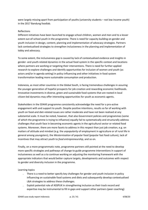were largely missing apart from participation of youths (university students – not low income youth) in the 2017 Bandung foodlab.

# Reflections

Different initiatives have been launched to engage school children, women and men and to a lesser extent out-of-school youth in the programme. There is need for capacity building on gender and youth inclusion in design, content, planning and implementation of advocacy strategies. Partners lack contextualised strategies to strengthen inclusiveness in the planning and implementation of lobby and advocacy.

To some extent, the inclusiveness gap is caused by lack of contextualised evidence and insights in gender- and youth-related dynamics in the actual food system in the specific context and locations where partners are working or targeting their interventions. There is need for further applied research to explore challenges and identify opportunities for inclusion of women and youth (as actors and/or in agenda setting) in policy influencing and other initiatives in food system transformation leading more sustainable consumption and production.

Indonesia, as most other countries in the Global South, is facing tremendous challenges in assuring the younger generation of hopeful prospects for job creation and rewarding economic livelihoods. Innovative investments in diverse, green and sustainable food systems that are rooted in local citizen-led dynamics may offer interesting opportunities for youth as economic agents.

Stakeholders in the SD4All programme consistently acknowledge the need for a pro-active engagement with and support to youth. Despite positive intentions, results so far of working with youth on food-and diet-related issues are rather moderate and have not been realised at any substantial scale. It must be noted, however, that also Government policies and programmes (some of which the programme is trying to influence) equally fail to systematically and structurally address challenges that youth face in becoming economic agents in the agricultural sector or related food systems. Moreover, there are more facets to address in this respect than just job creation, e.g. on matters of attitude and mindset (e.g. the *unpopularity* of employment in agriculture or of rural life in general among youngsters), the *Westernisation* of popular food (popular fast food culture), lack of incentives that may attract youth to *food entrepreneurship*, and so on.

Finally, on a more programmatic note, programme partners still pointed at the need to develop more specific strategies and pathways of change to guide programme interventions in support of inclusiveness as well as a to continue working on adjusting the monitoring framework with the appropriate indicators that would better capture targets, developments and outcomes with respect to gender and diversity inclusion in the programme.

Learning topics

- There is a need to better specify key challenges for gender and youth inclusion in policy influencing on sustainable food systems and diets and subsequently develop contextualised L&A strategies to address these challenges.
- Exploit potential role of ASSPUK in strengthening inclusion as their track record and expertise may be instrumental to fill in gaps and support other partners (peer coaching)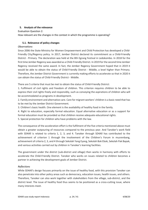# **5. Analysis of the relevance**

Evaluation Question 2:

How relevant are the changes in the context in which the programme is operating?

# **5.1. Relevance of policy changes**

### *Observations*

Since 2006 the State Ministry for Women Empowerment and Child Protection has developed a Child-Friendly City/Regency policy. In 2017, Jember District declared its commitment as a Child-Friendly District - Primary. The declaration was held at the 8th Egrang Festival in Ledokombo. In 2018 for the first time Jember Regency was awarded as a Child-Friendly District. In 2019 for the second time Jember Regency received the same award. In fact, the Jember Regency Government hoped that in 2019 it would be able to obtain the status of Child-Friendly District - Middle, a level higher than Primary. Therefore, the Jember District Government is currently making efforts to accelerate so that in 2020 it can obtain the status of Child-Friendly District - Middle.

There are 5 criteria that must be met to obtain the status of Child-Friendly District:

1. Fulfilment of civil rights and freedom of children. This criterion requires children to be able to express their civil rights freely and responsibly, such as conveying the aspirations of children who will be accommodated as programs in development.

2. Family environment and alternative care. Care for migrant workers' children is a basic need that has to be met by the Jember District Government.

3. Children's basic health. One element is the availability of healthy food in the family.

4. Right to education, especially formal education. Equal alternative education or as a support for formal education must be provided so that children receive adequate educational rights.

5. Special protection for children who have problems with the law.

The consequence of the acceleration effort is the fulfilment of the five criteria mentioned above must obtain a greater outpouring of resources compared to the previous year. And Tanoker's work field with SD4All is related to criteria 1, 2, 3, and 4. Tanoker through SD4All has contributed to the achievement of criterion 1 through the involvement of the Children's Forum in musrenbang, achievement of criteria 2, 3, and 4 through Sekolah Yang Eyang, Sekolah Bok Ebok, Sekolah Pak Bapak, and various activities carried out by children in Tanoker's learning facilities.

The government under the district (sub-district and village) then works in harmony with efforts to accelerate the Child-Friendly District. Tanoker who works on issues related to children becomes a partner in achieving the development goals of Jember District.

### *Reflections*

While SD4All's design focuses primarily on the issue of healthy food, with this provision Tanoker can also penetrate into other policy areas such as democracy, education issues, health issues, and others. Therefore, Tanoker can also work together with stakeholders from the village, sub-district, and the district level. The issue of healthy food thus seems to be positioned as a cross-cutting issue, where many interests meet.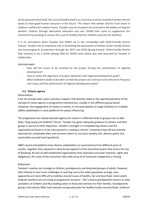At the grassroot level itself, the issue of healthy food is an issue that must be resolved if Jember District wants to have good human resources in the future. This means that Jember District must invest in children's welfare for a better future. Tanoker since its inception has invested in the welfare of migrant workers' children through alternative education and care. SD4All then came to supplement this investment by working to resolve the issue of healthy food for children (and also for families).

It is no coincidence when Tanoker and SD4All are in fact compatible with Child-Friendly District Policies. Tanoker has an important role in facilitating the declaration of Jember Child-Friendly District and encouraging its acceleration through the 2017 and 2018 Egrang Festival. Child-Friendly District then seemed to be a fertile playing field for SD4All work which was well executed by Tanoker in Ledokombo.

### *Learning topics*

- How will the issues to be resolved by the project driving the achievement of regional development?
- ˗ How to utilize the alignment of project objectives with regional development goals?
- ˗ What facilitation needs to be taken so that the project can continue to be relevant to the grass root issues and the achievement of regional development goals?

# **5.2. Citizens agency**

### **Observations**

A lot has already been said in previous chapters that directly relate to the operationalisation of the concept of citizen agency in programme interventions, notably in the different group-based initiatives, the engagement of citizens in events, or the participation of single (children) or multiple (GBDI) stakeholders in local platforms for policy influencing.

The programme has indeed elevated agency for citizens in different kinds of groups such as Bok-Ebok, Yang-eyang and children's forum. Tanoker has given adequate guidance to citizens and their groups in pursue of their objectives. Tanoker's strength is in empowering citizens and the organisational dream is to be instrumental in creating a citizens' movement that will pro-actively advocate for sustainable diets and convince others to use local, healthy, fair, diverse, green and sustainably-sourced food ingredients.

GBDI's board and platform have diverse stakeholders (or associations) from different parts of society. Together they represent a fairly broad segment of the local food system that serves the city of Bandung. By lack of well-established organisations that represent consumer interests, rights and obligations, the voice of the consumers (the wide array of all consumer categories) is missing.

### Reflections

Tanoker's reaches out strongly to children, grandparents and dedicated groups of adults. However, they indicate to face more challenges in reaching out to the adult population at large, who apparently are more difficult to mobilise around issues of healthy, fair and local food. Some adults (migrant workers) are not living at programme locations – this is where grandparents feature as their caretakers of children and thus leading actors in food and nutrition for their families. Grandparents groups and culinary SMEs have become strong advocates for healthy locally sourced foods. Evidence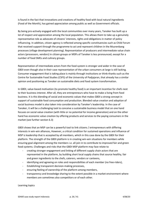is found in the fact that innovations and creations of healthy food with local natural ingredients (Food of the Month), has gained appreciation among public as well as Government officials.

By being pro-actively engaged with the local communities over many years, Tanoker has built up a lot of respect and appreciation among the local population. This allows them to take up a genuinely representative role as advocate of citizens' interests, rights and obligations in matter of policy influencing. In addition, citizen agency is reflected among specific constituencies such as Child Forum that received support through the programme to act and represent children in the Musrenbang processes (village development planning). Representation of producers and intermediate value chain actors (processors, vendors) in citizen groups or MSPs of Tanoker is less pronounced, except for a number of food SMEs and culinary groups.

Representation of intermediate actors from the food system is stronger and wider in the case of GBDI even though also in their case representation of the urban consumers at large is still lacking. Consumer engagement that is taking place is mainly through institutions or think-thanks such as the Centre for Sustainable Food Studies (CSFS) of the University of Padjajaran, that already has a similar opinion and positioning as Tanoker on sustainable diets and food system transformation.

In GBDI, value-based motivation (to promote healthy food) is an important incentive for chefs next to their business interest. After all, they are entrepreneurs who have to make a living from food business. It is this blending of social and economic values that makes GBDI a strong concept in support of sustainable food consumption and production. Blended value creation and adoption of social business model is also taken into consideration by Tanoker's leadership. In the case of Tanoker, it will be a challenging task to conceive a sustainable business model that on one hand focuses on social value creation (with little or no potential for income generation) and on the other hand has economic value creation by offering products and services to the paying consumers in the market (see further section 6.3)

GBDI shows that an MSP can be a powerful tool to link citizens / entrepreneurs with differing interests in win-win alliances, However, a critical condition for sustained operations and influence of MSP is leadership that is accepted by all members, which in this case done by the GBDI for their platform. The strength of the GBDI platform is in creating win-win situations for members while ensuring goal alignment among the members i.e. all join in to contribute to improved fair and green food systems. Challenges and risks that the GBDI MSP platform may face relate to

- creating stronger engagement and linking of different supply chain actors that are represented in the platform, by building short local supply chains that source healthy, fair and green ingredients to the chefs, caterers, vendors or canteens,
- identifying and agreeing on roles and responsibilities of each member (no free-riders),
- Establishing transparent decision-making processes,
- ensuring feeling of ownership of the platform among members,
- transparency and knowledge sharing to the extent possible in a market environment where members are sometimes also competitors or of each other.

Learning topics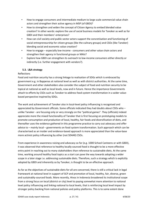- How to engage consumers and intermediate medium to large scale commercial value chain actors and strengthen their active agency in MSP (of GBDI)?
- How to strengthen and widen the concept of Citizen Agency to embed blended value creation? In other words: explore the use of social business models for Tanoker as well as for GBDI and their members' enterprises?
- How can civil society and public sector actors support the concretisation and functioning of social entrepreneurship for citizen groups (like the culinary groups) and CSOs (like Tanoker) blending social and economic value creation?
- How to engage especially low-income consumers and other value chain actors and strengthen their agency in functional groups or MAIs?
- Explore how GBDI can strengthen its outreach to low-income consumers either directly or indirectly (i.e. further engagement with vendors?).

# **5.3. L&A strategy**

### Reflections

Food and nutrition security has a strong linkage to realisation of SDGs which is embraced by government e.g. in Bappenas at national level as well as with district authorities. At the same time, Government and other stakeholders also consider the subject of food and nutrition security to be topical at national as well as local levels, now and in future. Hence the importance Governments attach to efforts by CSOs such as Tanoker to address food system transformation in a wider valuebased perspective inspired by SDGs.

The work and achievement of Tanoker also in local-level policy influencing is recognised and appreciated by Government officials. Some officials indicated they had doubts about CSOs who – unlike Tanoker - are focusing only or very strongly on the "political games". They (officials) indeed appreciate more the mixed functionality of Tanoker that is first focusing on prototyping models to promote consumption and production of local, healthy, fair foods and diversification of diets, and thereafter uses the evidence gathered in this programme practice to carry out advocacy and offer advice to – mainly local – governments on food system transformation. Such approach which can be characterised as an insider and evidence-based approach is more appreciated than the value-base more activist policy influencing by other (not SD4All) CSOs.

From experience in awareness raising and advocacy so far (e.g. 1000 School Canteens or with GBDI), it was observed that reference to healthy locally-sourced food is thought to be a more effective entry point in reaching out to many stakeholders than reference to sustainable diets. At the same time, working around healthy food topics as a start can pave the way towards adopting a wider scope in a later stage i.e. addressing sustainable diets. Therefore, such a strategy which is explicitly adopted by GBDI and inherently so by Tanoker, is thought to be an effective approach.

As far as the objectives of sustainable diets for all are concerned, there is still a critical lack in legal framework at national level in support of SCP and promotion of local, healthy, fair, diverse, green and sustainably-sourced foods. More recently, Hivos in Indonesia broadened its institutional scope from a strong focus on local (district or city) level to paying somewhat more attention to national level policy influencing and linking national to local levels, that is reinforcing local level impact by stronger policy backing from national policies and policy platforms. This is to some extent done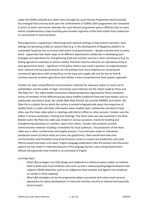under the SD4All umbrella but rather more through the *Local Harvest Programme* which basically has emerged from and was built upon the achievements of SD4All. Both programmes are connected in terms of vision and mission whereby the Local Harvest programme spans a different (but to some extent complementary) scope touching upon broader segments of the food system from production to consumption in more locations.

The programme is supporting / influencing multi-sectoral settings to food system transition. Such settings are becoming visible at national level (e.g. in the development of Bappenas platform on sustainable food) but less so at local level where local governments – despite commitments at policy levels - apparently take fewer steps to let different departments collaborate in developing joint strategies and operations for strengthening food and nutrition security in their constituency (e.g. by linking agriculture extension to dietary needs). Nutrition may thus become an *unfunded priority* at local government levels – significant in the policy rhetoric but small in practice. At implementation level, national and local governments are still putting much more emphasis on cereal-based commercial agriculture with strong focus on the input and supply side and far less on food & nutrition security-sensitive agriculture that follows a more comprehensive food systems approach.

Tanoker has been using different communication materials for advocacy and/or to reach out to stakeholders and the public at large. Commonly used materials are the videos made by Hivos and 'My Plate Fan'. The video *Health Generations Ahead* (production organised by Hivos) contained stories of members of the different groups about healthy traditional food and from leaders such as Ledokombo sub-district head, Ibu Latifah (Bok Ebok School), Ibu Sumilah (MSME), and others. *My Plate Fan* is a plastic fan on which the surface is printed infographically about the proportion of healthy food in a plate and other information about healthy food. Ledokombo sub-district head often uses the Hivos video when in meetings with district offices or other persons. Tanoker uses the videos in various workshops, training and meetings. The Hivos video was also launched in the Mud Market event. My Plate Fan video was shared on various occasions, mainly for building and strengthening awareness on nutrition. Apart from videos, Tanoker also produces printed communication material including a newsletter for local audiences. The production of the Hivos video was a rather cumbersome and lengthy process. If use had been made an Indonesian production house (of which there are many very good ones), there would have been less communication and formalities (visa & permissions) issues to resolve and production costs (and efforts) would have been a lot lower. English-language publications (like the position and discussion papers) are less useful in Indonesia because of the language barriers, also among Government officials who generally have limited or no command of English.

Learning topics

- What L&A strategies can CSOs design and implement to influence policy makers at national level to build upon local initiatives and come up with a national guiding legal framework that supports SD4All objectives such as on indigenous food varieties and against over-emphasis on cereals in food cropping?
- ˗ What L&A strategies can be the programme adopt to promote and realise multi-sectoral approaches for policy development on food and nutrition security at national and especially district levels?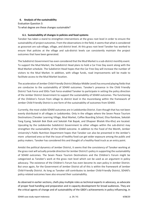# **6. Analysis of the sustainability**

Evaluation Question 3: To what degree are these changes sustainable?

### **6.1. Sustainability of changes in policies and food systems**

Tanoker has taken a stand to strengthen interventions at the grass root level in order to ensure the sustainability of project outcomes. From the observations in the field, it seems that what is considered as grassroot are sub-village, village, and district level. At this grass root level Tanoker has worked to ensure that policies at the village and sub-district levels can consistently maintain the project outcomes that have been generated.

The Subdistrict Government has even considered that the Mud Market is a sub-district monthly event. To support the Mud Market, the Subdistrict Head plans to hold a Car Free Day event along with the Mud Market schedule. The Subdistrict Head hopes that the Car Free Day will increase the number of visitors to the Mud Market. In addition, with village funds, road improvements will be made to facilitate access to the Mud Market location.

The acceleration of Jember Child-Friendly District (Madya-Middle Level) has ensured playing fields that are conducive to the sustainability of SD4All outcomes. Tanoker's presence in the Child Friendly District Task Force and SDGs Task Force enabled Tanoker to participate in setting the policy direction of the Jember District Government to support the sustainability of SD4All outcomes. The functioning of the Children's Forum from village to district level in the musrenbang within the framework of Jember Child-Friendly District is one form of the sustainability of outcomes from SD4All.

Currently, the most visible SD4All outcomes are in Ledokombo District. Even though that has not been evenly distributed in all villages in Ledokombo. Only in the villages where the Seven Peace Tourism Destinations (Tanoker Learning Village, Mud Market, Coffee Boarding School, Elisa Rainbow, Sekolah Yang Eyang, Sekolah Bok Ebok and Sekolah Pak Bapak, and Dhapoer Bhatek Kho-Kho) are located. Upscaling by the Ledokombo Subdistrict Government to other villages within the sub-district may strengthen the sustainability of the SD4All outcome. In addition to the Food of the Month, Jember University's Public Nutrition Department hopes that Tanoker can also be presented in the Jember's more urbanised area so that the issue of healthy food can get wider exposure among the public and policy makers. Tanoker has considered this and thought of a healthy-food truck as an entry point.

Amidst the political dynamics of Jember District, it seems that the consistency of Tanoker working at the grass root will actually provide direction for Jember District's policy in supporting the sustainability of SD4All outcomes. The Seven Peace Tourism Destinations and the Children's Forum might be categorized as Tanoker's work at the grass root level which can be used as an argument in policy advocacy. The existence of the Children's Forum has even become its own policy in Jember District. But once again, for the Government of Jember District all of this is within the framework of Jember Child-Friendly District. As long as Tanoker still contributes to Jember Child-Friendly District, SD4All's policy-related outcomes have also ensured their sustainability.

As observed in earlier sections, chefs play multiple roles as technical experts in advocacy, as advocate of proper food handling and preparation and in capacity development for broad audiences. They are the critical agents of change and of sustainability of the GBDI's achievements in policy influencing, in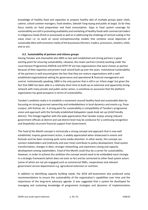knowledge of healthy food and capacities to prepare healthy diet of multiple groups (peer chefs, caterer, school canteen managers, food vendors, Sekolah Yang-eyang and public at large). So far they focus mainly on food preparation and food consumption. Gaps in food system coverage for sustainability are still in promoting availability and marketing of healthy foods with commercial traders in indigenous foods (fresh or processed) as well as in addressing the challenge of vertical scaling in the value chain i.e. to work on social entrepreneurship models that combine social objectives of sustainable diets with economic reality of the businesses (farmers, traders, processors, retailers, chefs, and so on).

### **6.2. Sustainability of partners and citizens groups**

Having Tanoker and meanwhile also GBDI as two well established and strong partners is good starting point for ensuring sustainability. Likewise, the newer partners (mainly working under the Local Harvest Programme) ASSPUK and NTFP-EP are two organisations that were chosen as partner because of their expertise and proven track record built up over the years. Institutional sustainability of the partners is well ensured given the fact that they are mature organisations with a wellestablished organisational setting for governance and operational & financial management and control. Institutionally speaking, GBDI is the only partner that is still in an 'infant stage' but given the fact that GBDI has been able in a relatively short time to build up an extensive and apparently strong network with many private and public sector actors, is somehow an assurance that the platform organisation has good prospects in terms of sustainability.

Tanoker's ambition really is to establish a movement around healthy food and sustainable diets by focussing on strong grassroot ownership and embeddedness in local dynamics and events e.g. Pasar Lumpur, stilt festival, etc. A strong point for sustainability is compatibility of Tanoker's programme vision and approach with the formally established *Kabupaten Layak Anak* set-up (child friendly district). This linkage together with the wide appreciation that Tanoker enjoys among relevant government officials at district and sub-district level may be conducive for a continuing recognition and (hopefully) recurrent financial support from Government.

The *Food of the Month* concept is intrinsically a strong concept and approach that is now well established, inspires government actors, is widely appreciated when showcased in events and festivals and has been receiving quite some media attention. In other words, this concept can connect stakeholders and (indirectly and over time) contribute to policy development, food system transformation, changes in diets, stronger networking, and awareness raising and capacity development among stakeholders. Food of the Month could thus be a carrier for sustainability. However, in order to achieve this ambition the concept would need to be embedded more strongly in a strategic framework (which does not exist so far) and be connected to other food system actors (some of which are not yet engaged) such as commercial SMEs, cooperatives and relevant government service departments e.g. agricultural extension or nutrition.

In addition to identifying capacity building needs, the 2018 self-assessment also produced some recommendations to ensure the sustainability of the organization's capabilities over time and the importance of the long-term advocacy agenda. It was suggested that a system be developed for managing and sustaining knowledge of programme strategies and dynamics of implementation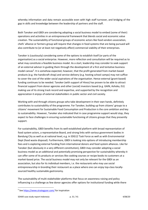whereby information and data remain accessible even with high staff turnover, and bridging of the gap in skills and knowledge between the leadership of partners and the staff.

Both Tanoker and GBDI are considering adopting a social business model to embed (some of their) operations and activities in an entrepreneurial framework that blends social and economic value creation. The sustainability of functional groups of economic actors like food vendors association, chefs' alliance or farmers group will require that changes in food systems that are being pursued will also contribute to (or at least not negatively affect) commercial viability of their enterprises.

Tanoker is (cautiously) considering some of the options to establish itself (or parts of the organisation) as a social enterprise. However, more reflection and consultation will be required as to what may constitute a feasible business model. As a start, leadership may consider to seek support of an external advisor in guiding them through the development of a first and tentative business model canvas<sup>6</sup>. It is somehow expected, however, that the profit generated from market-based products (e.g. the handicraft shop) and service delivery (e.g. hosting school camps) may not suffice to cover the cost of the wider social aspirations of the organisation. Hence external (grant-based) funding continues to be needed. Tanoker (with support of Hivos) has proven to be able to attract financial support from donor agencies and other (social) investors based (e.g. GAIN, Ashoka, EU) making use of its strong track record and expertise, and supported by the recognition and appreciation it enjoys of external stakeholders in public sector and civil society.

Working with and through citizens groups who take development in their own hands, definitely contributes to sustainability of the programme. For Tanoker, building up from citizens' groups to a citizens' movement for Sustainable Food Consumption and Production is the core ambition and key to sustainability. However, Tanoker also indicated that in case programme support would stop, they expect to face challenges in ensuring sustainable functioning of citizens groups that they presently support.

For sustainability, GBDI benefits from its well-established platform with broad representation of food system actors, a representative Board, and strong links with various government bodies in Bandung City as well as at national level, e.g. in SDG12 Task Force as well as with Environmental Dept (food waste disposal). Furthermore, GBDI is looking into options of introducing membership fees and is exploring external funding from international donors and food system alliances. Like for Tanoker (but obviously in a very different constitution), GBDI may consider adopting a social business model as an additional and potentially promising perspective for sustainability whereby it can offer some of its products or services like cooking courses or recipe books to customers at a market-based price. The social business model may not only be relevant for the GBDI as an association, but also for its individual members, i.e. the restaurants who may use social entrepreneurship in branding their restaurant as a place where one can enjoy top-class locallysourced healthy sustainable gastronomy.

The sustainability of multi-stakeholder platforms that focus on awareness raising and policy influencing is a challenge as few donor agencies offer options for institutional funding while there

 $6$  See https://www.strategyzer.com/ for inspiration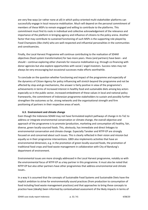are very few ways (or rather none at all) in which policy-oriented multi-stakeholder platforms can successfully engage in local resource mobilisation. Much will depend on the personal commitment of members of these MSPs to remain engaged and willing to contribute to the platforms. This commitment must find its roots in individual and collective acknowledgement of the relevance and importance of the platform in bringing agency and influence of citizens to the policy arena. Another factor that may contribute to sustained functioning of such MSPs is the supporting role played by Food Champions (like chefs) who are well-respected and influential personalities in the communities and constituencies.

Finally, the Local Harvest Programme will continue contributing to the realisation of SD4All objectives (food system transformation) for two more years. Hivos (and partners) have been - and should – continue exploring other channels for resource mobilisation e.g. through co-financing with donor agencies but also explore opportunities with social / angel investors. Success rates may not always be very encouraging but occasional successes make efforts worthwhile.

To conclude on the question whether functioning and impact of the programme and especially of the dynamics of Citizen Agency for policy influencing will stretch beyond the programme and not be affected by stop-and-go mechanisms, the answer is fairly positive in view of the programme's achievements in terms of increased interest in healthy food and sustainable diets among key actors especially so in the public sector, increased embedment of these values in local and national policy frameworks, the commitment of Indonesian programme stakeholders to sustain and possibly further strengthen the outcomes so far, strong networks and the organisational strength and firm positioning of partners in their respective areas of work.

# **6.3. Environment and climate change**

Even though the Indonesia SD4All may not have formulated explicit pathways of change in its ToC to address or integrate environmental conservation or climate change, the overall objective and approach of the programme is to promote (production, marketing and consumption of) healthy, fair, diverse, green locally-sourced foods. This, obviously, has immediate and direct linkages to environmental conservation and climate change. Especially Tanoker and NTFP-EP are strongly focused on and concerned about such issues. This is clearly reflected in their vision and mission but equally so in their programme interventions. GBDI also implements activities that have an environmental dimension, e.g. in the promotion of green locally-sourced foods, the promotion of traditional food crops and food waste management in collaboration with City of Bandung's department of environment.

Environmental issues are more strongly addressed in the Local Harvest programme, notably so with the environmental focus of NTFP-EP as a key partner in this programme. It must also be noted that NTFP-EP but also other partners have other programmes that address environmental and climate issues..

In a way it is assumed that the concepts of Sustainable Food Systems and Sustainable Diets have the implicit ambition to strive for environmentally sound practices (from production to consumption of food including food waste management practices) and that approaches to bring these concepts to practice have (ideally) been informed by contextualised assessment of the likely impacts in terms of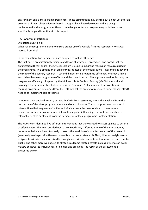environment and climate change (resilience). These assumptions may be true but do not yet offer an assurance of that robust evidence-based strategies have been developed and are being implemented in the programme. There is a challenge for future programming to deliver more specifically on good intentions in this respect.

# **7. Analysis of efficiency**

Evaluation question 4:

What has the programme done to ensure proper use of available / limited resources? What was learned from this?

In the evaluation, two perspectives are adopted to look at efficiency.

The first one is organisational efficiency and looks at strategies, procedures and norms that the organisation (Hivos) and/or the CAC consortium is using to maximise returns on resources used in the programme. This dimension of efficiency is situated at the organisational level and falls beyond the scope of the country research. A second dimension is programme efficiency, whereby a link is established between programme effects and the costs incurred. The approach used for learning on programme efficiency is inspired by the Multi-Attribute Decision Making (MADM) method and basically let programme stakeholders assess the 'usefulness' of a number of interventions in realising programme outcomes (from the ToC) against the among of resources (time, money, effort) needed to implement said outcomes.

In Indonesia we decided to carry out two MADM-like assessments, one at the level and from the perspective of the Hivos programme team and one at Tanoker. The assumption was that specific interventions that may seem effective and efficient from the point of view of Hivos (also in connection with other countries and international policy influencing) may not necessarily be as relevant, effective or efficient from the perspective of local programme implementation.

The Hivos team identified five different interventions that they wanted to assess against 10 criteria of effectiveness. The team decided not to take Food Diary Different as one of the interventions, because in their view it was too early to assess the 'usefulness' and effectiveness of this research (assumed / envisaged effectiveness indeed is not a proper standard). Next, different weights were assigned to criteria – some received less weight e.g. criteria related to outputs (such as reach out to public) and other more weight e.g. to strategic outcome-related effects such as influence on policy makers or increased inclusiveness of policies and practices. The result of the assessment is presented below: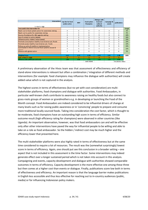| <b>Interventions</b><br>$1 = low 5 = high$                                                         | Cap Dev for food<br>system actors | <b>MSP</b>              | Food system<br><b>Champions</b> | Dialogue with<br>local and<br>national<br>authority | Campaign &<br>events | publications       |        |
|----------------------------------------------------------------------------------------------------|-----------------------------------|-------------------------|---------------------------------|-----------------------------------------------------|----------------------|--------------------|--------|
| how useful is the intervention for                                                                 |                                   |                         |                                 |                                                     |                      |                    | Weight |
| Reach out to food system actors for awareness raising                                              | 4                                 | 5                       | 5                               | 5                                                   | 3                    | $\overline{2}$     | 5%     |
| Reach out to public for awareness raising                                                          | 2                                 | $\overline{2}$          | 4                               |                                                     | 4                    |                    | 5%     |
| Source of evidence for L&A agenda setting                                                          | 4                                 | 5                       | 3                               | 5                                                   | 4                    | 5                  | 10%    |
| Use of content in policy debate                                                                    | 3                                 | 5                       | 3                               | 5                                                   | $\overline{2}$       | 4                  | 10%    |
| Influence policy makers (value based)                                                              | 5                                 | 5                       | 5                               | 5                                                   | 3                    | 2                  | 15%    |
| Promote consumption healthy local diverse sust, foods                                              | 5                                 | 5                       | 5                               | 4                                                   | 4                    | 3                  | 10%    |
| Promote access healthy local diverse sust. Foods                                                   | 5                                 | 5                       | 5                               | 4                                                   | 4                    | з                  | 10%    |
| Follow-up policy & platform implementation<br>Contributes to More inclusive food systems (issues & | 5                                 | 5                       | 5                               | 5                                                   | 3                    | 3                  | 15%    |
| actore                                                                                             | 5                                 | 5                       | 5                               | 5                                                   | 4                    | 2                  | 15%    |
| Alliance with global actors                                                                        | 2                                 | $\overline{\mathbf{3}}$ | 4                               | 4                                                   | 4                    | 4                  | 5%     |
|                                                                                                    |                                   |                         |                                 |                                                     |                      |                    |        |
| <b>Weighted Score</b>                                                                              | 4.35                              | 4.75                    | 4.50                            | 4.55                                                | 3.45                 | 2.90               | 100%   |
| Cost $1 = low / 5 = high$                                                                          | 4                                 | 5                       | $\mathcal{P}$                   | 4                                                   | R                    | R.                 |        |
| <b>Efficiency ratio (effect per unit cost)</b>                                                     | 1.09                              | 0.95                    | 2.25                            | 1.14                                                | 1.15                 | 0.97               |        |
|                                                                                                    |                                   |                         | chefs MSME                      |                                                     |                      | incl photos videos |        |

A preliminary observation of the Hivos team was that assessment of effectiveness and efficiency of stand-alone interventions is relevant but often a combination / integration of different methods and interventions (for example: food champions may influence the dialogue with authorities) will create added value which is not captured in the analysis.

The highest scores in terms of effectiveness (but no yet with cost consideration) are multistakeholder platforms, food champions and dialogue with authorities. Food Ambassadors, in particular well-known chefs contribute to awareness raising on healthy foods but also connect to grass-roots groups of women or grandmothers e.g. in developing or launching the Food of the Month concept. Food Ambassadors are indeed considered to be influential drivers of change at many levels such as for raising public awareness or in 'convincing' people to prepare and consume more traditional locally sourced foods. Taking into consideration the cost factor, which is thought to be moderate, food champions have an outstanding high score in terms of efficiency. Similar outcome result (high efficiency rating for champions) were observed in other countries (like Uganda). An important observation, however, was that food ambassadors can and will be effective only after other interventions have paved the way for influential people to be willing and able to take on a role as food ambassador. So the hidden / indirect cost may be much higher and the efficiency lower that presented here.

The multi-stakeholder platforms were also highly rated in terms of effectiveness but at the same time considered to require a lot of resources. The result was the (somewhat surprisingly) lowest score in terms of efficiency. Again, one should put see this conclusion in a broader setting – one aspect that is not included in this assessment is the time factor. Some interventions may indeed generate effect over a longer sustained period which is not taken into account in this analysis. Campaigning and events, capacity development and dialogue with authorities showed comparable outcomes in terms of efficiency. Capacity development is the more effective one among these three but then comes at a higher cost than events or dialogue. Finally, publications score low both in terms of effectiveness and efficiency. An important reason is that the language barrier makes publications in English less accessible and thus less effective for reaching out to in-country audiences (public, media) or for influencing Indonesian policy makers.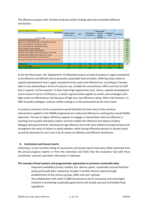The efficiency analysis with Tanoker produced similar findings abut also somewhat different conclusions.

| <b>Efficiency analsysis at Tanoker</b><br><b>Interventions</b><br>$1 = low 5 = high$ | Cap Dev for food<br>system actors | <b>MSP</b> | Food system<br>Champions | Dialogue with<br>local and<br>national<br>authority | Campaign &<br>events | publications |        |
|--------------------------------------------------------------------------------------|-----------------------------------|------------|--------------------------|-----------------------------------------------------|----------------------|--------------|--------|
| how useful is the intervention for                                                   |                                   |            |                          |                                                     |                      |              | Weight |
| Reach out to food system actors for awareness raising                                | 5                                 | 4          | 5.                       | 4                                                   | 5                    | 5            | 20%    |
| Reach out to public for awareness raising                                            | 5                                 | 4          | 5.                       | 4                                                   | 5                    | 5.           | 15%    |
| Source of evidence for L&A agenda setting                                            | 5.                                | 5          | 5.                       | 5                                                   | 5                    | 5.           | 10%    |
| Use of content in policy debate                                                      | 5                                 | 5          | 5                        | 5                                                   | 5                    |              | 10%    |
| Influence policy makers (value based)                                                | 5                                 | 5          | 5                        | 5                                                   | 5                    |              | 10%    |
| Promote consumption healthy local diverse sust. foods                                | 5                                 | 4          | 5                        | 4                                                   | 5                    | 5            | 10%    |
| Promote access healthy local diverse sust. Foods                                     | 5                                 | 4          | 5                        | 4                                                   | 5                    | 5            | 10%    |
| Follow-up policy & platform implementation                                           | 3.                                | 4          | 4                        | 5                                                   | 4                    | з            | 10%    |
| Contributes to More inclusive food systems (issues & actors)                         | 5                                 | 5          | 5                        | 5                                                   | 4                    | 4            | 5%     |
|                                                                                      |                                   |            |                          |                                                     |                      |              |        |
| <b>Weighted Score</b>                                                                | 4.05                              | 3.75       | 4.15                     | 3.85                                                | 4.10                 | 3.80         | 100%   |
| Cost $1 = \text{low } / 5 = \text{high}$                                             | 5                                 | 3          | $\overline{2}$           | 3                                                   | 5                    | 4            |        |
| Efficiency ratio (effect per unit cost)                                              | 0.81                              | 1.25       | 2.08                     | 1.28                                                | 0.82                 | 0.95         |        |

As for the Hivos team, the 'deployment' of influential citizens as food champions is again considered to be effective and efficient tool to promote sustainable food and diets. Differing views relate to capacity development that is again considered to be useful and effective but, according to Tanoker team is very demanding in terms of resource use, notably the commitment, effort and time of staff that it requires 'at the expense' of other tasks (high opportunity cost). Hence, capacity development scores lowest in terms of efficiency. A similar argumentation applies to events and campaigns with high scores on effectiveness, but because of high cost, low efficiency rating. Other interventions, i.e. MSP and policy dialogue, receives similar ranking as in the assessment by the Hivos team.

A cautious conclusion of the assessments would therefore be that many of the common interventions applied in the SD4All programme are useful and effective in realising the overall SD4All objectives. The key to higher efficiency appears to engage in interventions that are effective in reaching out to public and policy makers and that amplify the influence and impact of policy dialogue with governments. Working through alliances and multi-actor platforms brings forward and strengthens the voice of citizens in policy debates, while having influential persons in society stand up and be advocate for your case is by all means an effective and efficient mechanism.

# **8. Conclusions and lessons learnt**

Following is a non-narrative listing of conclusions and lessons learnt that were either extracted from the annual progress reports or from the interviews and FGDs that the evaluators had with Hivos coordinator, partners and other informants in Indonesia

### **The concept of food systems and programmatic approaches to promote sustainable diets**

- ˗ Improved availability of local, healthy, fair, diverse, green, sustainably sourced food has partly and locally been realised by Tanoker in Jember District mainly through establishment of the culinary groups, SMEs and men's groups.
- ˗ The collaboration with chefs in GBDI has proven to be an innovative and meaningful initiative in promoting sustainable gastronomy with locally sourced and healthy food ingredients.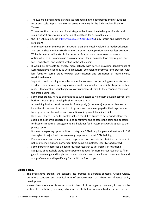- ˗ The two main programme partners (so far) had a limited geographic and institutional focus and scale. Replication in other areas is pending for the GBDI but less likely for Tanoker
- ˗ To asses option, there is need for strategic reflection on the challenges of horizontal scaling of best practices in promotion of local food for sustainable diets
- the PPP-Lab scaling scan (https://ppplab.org/2018/11/3223/) may inform and inspire these reflections
- ˗ In the coverage of the food system, other elements notably related to food production and. established medium-sized commercial actors at supply side, received less attention.
- While this was a deliberate choice because of capacity and resource constraints, optimisation of sustained value chain operations for sustainable food may require more focus on linkages and vertical scaling in the value chain.
- It would be advisable to engage more actively with service providing departments at Kecamatan level especially so with agricultural extension to promote farm practices with less focus on cereal crops towards diversification and promotion of more diverse (traditional) crops.
- ˗ Support to and coaching of small- and medium-scale actors (including restaurants, food vendors, canteens and catering services) could be embedded in social entrepreneurship models that combine social objectives of sustainable diets with the economic reality of the small businesses.
- Some support may have to be provided to such actors to help them develop appropriate business models (e.g. develop business model canvas).
- An enabling business environment is often equally (if not more) important than social incentives for economic actors to join groups and remain engaged in the longer run in food system transformation and promotion of improved diversified diets.
- However, , there is need for contextualised feasibility studies to better understand the social and economic opportunities and constraints and to assess the costs and benefits for business models of engagement in a healthier food system that would appeal to the private sector.
- ˗ It is worth exploring opportunities to integrate GBDI-like principles and methods in CSR strategies of major food companies (e.g. exposure to what GBDI is doing).
- ˗ Keep vendors can remain relevant targets for practice-oriented training but less so in policy influencing (many barriers for time being e.g. politics, security, food safety)
- ˗ Some partners expressed a need for further research to get insights in nutritional adequacy of household diets, others pointed at need for more market research to fill in gaps in knowledge and insights on value chain dynamics as well as on consumer demand and preferences – all specifically for traditional food crops.

# **Citizen agency**

- The programme brought the concept into practice in different contexts. Citizen Agency became a concrete and practical way of empowerment of citizens to influence policy development.
- ˗ Value-driven motivation is an important driver of citizen agency, however, it may not be sufficient to mobilise (economic) actors such as chefs, food vendors, traders or even farmers.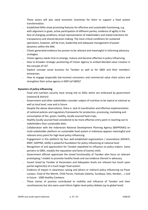These actors will also need economic incentives for them to support a food system transformation.

- Established MAIs show promising features for effective and sustainable functioning, e.g. with alignment in goals, active participation of different parties, evidence of agility in the face of changing conditions, broad representation of stakeholders and stated intentions for transparency and shared decision making. The most critical conditions for sustained operations, however, will be trust, leadership and adequate management of power dynamics within the MAI.
- ˗ Citizen generated evidence has proven to be relevant and meaningful in informing advocacy strategies.
- ˗ Citizen agency needs time to emerge, mature and become effective in policy influencing
- ˗ How to broaden strategic positioning of Citizen Agency to embed blended value creation in the concept of CA?
- Explore concept social business for Tanoker as well as for GBDI and their members' enterprises.
- How to engage (especially low-income) consumers and commercial value chain actors and strengthen their active agency in MSP (of GBDI)?

# **Dynamics of policy influencing**

- Food and nutrition security have strong link to SDGs which are embraced by government (national & district)
- ˗ Government and other stakeholders consider subject of nutrition to be topical at national as well as local level, now and in future
- ˗ Despite the above observations, there is lack of coordination and effective implementation of national policies and regulatory frameworks for production, processing, marketing and consumption of fair, green, healthy, locally sourced food crops.
- Healthy locally sourced food considered to be more effective entry point in reaching out to stakeholders than sustainable diets.
- ˗ Collaboration with the Indonesian National Development Planning Agency (BAPPENAS) on multi-stakeholder platform on sustainable food system in Indonesia appears meaningful and relevant entry point for high-level policy influencing
- Engagement in this platform by four well-established organizations / associations (KEHATI, KRKP, GAPPMI, GAIN) is powerful foundation for policy influencing at national level
- ˗ Recognition of and appreciation for Tanoker expedited its influence on policy makers. Same pertains to GBDI, notably the reputation and fame of (some) chefs.
- ˗ Government officials appreciate the mixed functionality of Tanoker who focus on relevant prototyping / models to promote healthy foods and use evidence thereof in advocacy
- ˗ Issued raised by Tanoker at Kecamatan and Kabupaten levels are relevant but touch upon partial segment(s) of a much larger food system.
- Evidence of impact in awareness raising and (direct or indirect) policy influencing via Pasar Lumpur, Food of the Month, Child Forum, Festivals (Jakarta, Surabaya, Solo, Kendari, …) and in future - 1000 Healthy Canteens
- ˗ These stories of practice contributed to visibility and influence of Tanoker and their constituencies but also were used inform higher-level policy debate (up to global level)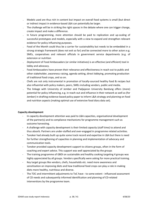- Models used are thus rich in content but impact on overall food systems is small (but direct or indirect impact in evidence-based L&A can potentially be larger.
- The challenge will be in striking the right spaces in the debate where one can trigger change, create impact and make a difference.
- In future programming, more attention should be paid to replication and up-scaling of successful prototypes and models, especially with a view to expand and strengthen relevant evidence for policy influencing purposes.
- ˗ Food of the Month could thus be a carrier for sustainability but needs to be embedded in a strong strategic framework (does not exit so far) and be connected more to other actors e.g. SMEs, cooperatives and relevant officials in government service departments (e.g. of extension or nutrition
- ˗ *Deployment* of Food Ambassadors (or similar initiatives) is an effective (and efficient) tool in lobby and advocacy.
- ˗ Food Ambassadors have proven their relevance and effectiveness in reach out to public and other stakeholder, awareness raising, agenda setting, direct lobbying, promoting production of traditional food crops, and so on.
- ˗ Chefs are not only instrumental in promotion of locally-sourced healthy food & recipes but also influential with policy makers, peers, SMEs including vendors, public and media.
- ˗ The linkage with University of Jember and Padjajaran University Bandung offers (more) potential for policy influencing, e.g. in reach-out and influence in their network as well as (for Jember) in drafting evidence-based policy paper to inform L&A strategy and planning on food and nutrition aspects (making optimal use of extensive food diary data set).

# **Capacity development**

- In capacity development attention was paid to L&A capacities, organisational development of the partner(s) and to compliance mechanisms for programme management such as outcome harvesting.
- A challenge with capacity development is their limited *capacity* (staff time) to attend and thus absorb. Partners are under-staffed and over-engaged in programme related activities.
- Tanoker had already built up quite some track record and expertise in L&A but there is need for further strengthening of capacities in planning and implementation of advocacy and communication tools.
- Tanoker provided capacity development support to citizens groups, often in the form of coaching and expert advice. This support was well appreciated by the groups
- The training programme of GBDI on sustainable and healthy cooking targeting 4 groups was highly appreciated by all groups. Vendors specifically were asking for more practical training.
- Key target groups like vendors, chefs, households etc. need more awareness and sensitisation on improving diets and how traditional food crops can play a role in making diets more healthy, nutritious and diverse.
- The TOC and intermittent adjustments to ToC have to some extent influenced assessment of CD needs and subsequently informed identification and planning of CD-related interventions by the programme team.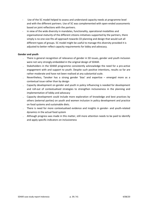- Use of the 5C model helped to assess and understand capacity needs at programme level and with the different partners. Use of 5C was complemented with open-ended assessments based on joint reflections with the partners.
- in view of the wide diversity in mandates, functionality, operational modalities and organisational *maturity* of the different citizens initiatives supported by the partners, there simply is no one-size-fits-all approach towards CD planning and design that would suit all different types of groups. 5C model might be useful to manage this diversity provided it is adjusted to better reflect capacity requirements for lobby and advocacy.

### **Gender and youth**

- ˗ There is general recognition of relevance of gender in SD issues, gender and youth inclusion were not very strongly embedded in the original design of SD4All.
- ˗ Stakeholders in the SD4All programme consistently acknowledge the need for a pro-active engagement with and support to youth. Despite such positive intentions, results so far are rather moderate and have not been realised at any substantial scale.
- ˗ Nevertheless, Tanoker has a strong gender 'bias' and expertise emerged more as a contextual issue rather than by design
- ˗ Capacity development on gender and youth in policy influencing is needed for development and roll-out of contextualised strategies to strengthen inclusiveness in the planning and implementation of lobby and advocacy
- Capacity development could include more exploration of knowledge and best practices by others (external parties) on youth and women inclusion in policy development and practice on food systems and sustainable diets.
- ˗ There is need for more contextualised evidence and insights in gender- and youth-related dynamics in the actual food system
- Although progress was made in this matter, still more attention needs to be paid to identify and apply specific indicators on inclusiveness